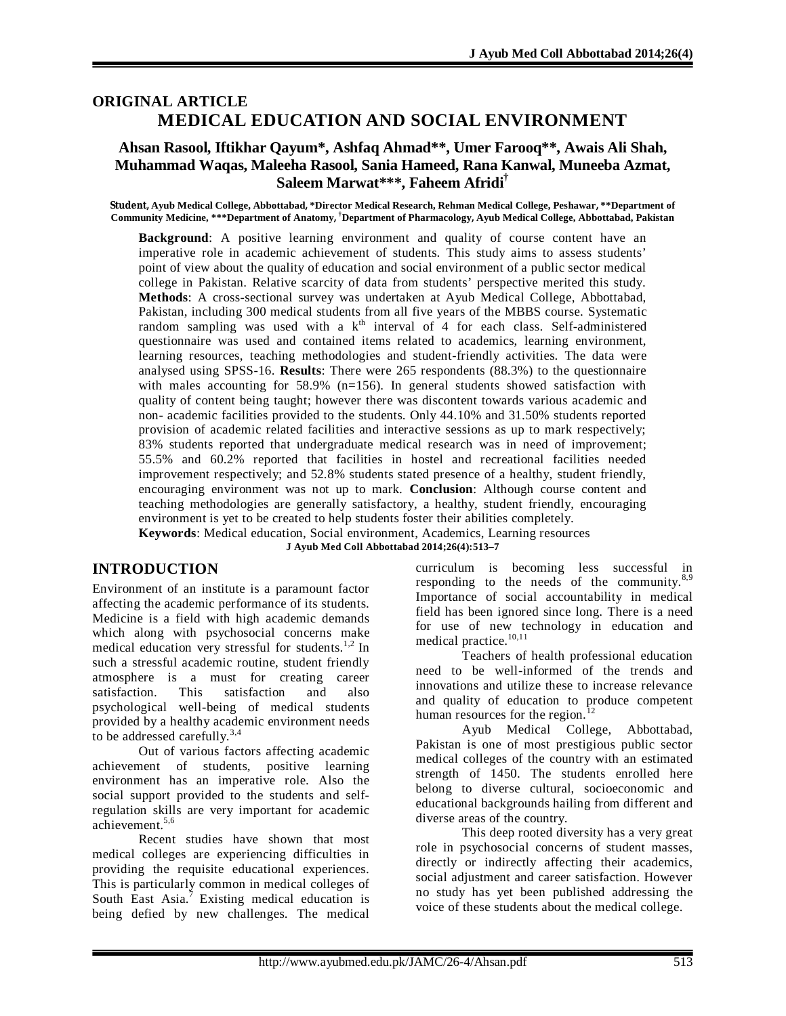# **ORIGINAL ARTICLE MEDICAL EDUCATION AND SOCIAL ENVIRONMENT**

### **Ahsan Rasool, Iftikhar Qayum\*, Ashfaq Ahmad\*\*, Umer Farooq\*\*, Awais Ali Shah, Muhammad Waqas, Maleeha Rasool, Sania Hameed, Rana Kanwal, Muneeba Azmat, Saleem Marwat\*\*\*, Faheem Afridi†**

**Student, Ayub Medical College, Abbottabad, \*Director Medical Research, Rehman Medical College, Peshawar, \*\*Department of Community Medicine, \*\*\*Department of Anatomy, †Department of Pharmacology, Ayub Medical College, Abbottabad, Pakistan**

**Background**: A positive learning environment and quality of course content have an imperative role in academic achievement of students. This study aims to assess students' point of view about the quality of education and social environment of a public sector medical college in Pakistan. Relative scarcity of data from students' perspective merited this study. **Methods**: A cross-sectional survey was undertaken at Ayub Medical College, Abbottabad, Pakistan, including 300 medical students from all five years of the MBBS course. Systematic random sampling was used with a  $k<sup>th</sup>$  interval of 4 for each class. Self-administered questionnaire was used and contained items related to academics, learning environment, learning resources, teaching methodologies and student-friendly activities. The data were analysed using SPSS-16. **Results**: There were 265 respondents (88.3%) to the questionnaire with males accounting for  $58.9\%$  (n=156). In general students showed satisfaction with quality of content being taught; however there was discontent towards various academic and non- academic facilities provided to the students. Only 44.10% and 31.50% students reported provision of academic related facilities and interactive sessions as up to mark respectively; 83% students reported that undergraduate medical research was in need of improvement; 55.5% and 60.2% reported that facilities in hostel and recreational facilities needed improvement respectively; and 52.8% students stated presence of a healthy, student friendly, encouraging environment was not up to mark. **Conclusion**: Although course content and teaching methodologies are generally satisfactory, a healthy, student friendly, encouraging environment is yet to be created to help students foster their abilities completely. **Keywords**: Medical education, Social environment, Academics, Learning resources

**J Ayub Med Coll Abbottabad 2014;26(4):513–7**

## **INTRODUCTION**

Environment of an institute is a paramount factor affecting the academic performance of its students. Medicine is a field with high academic demands which along with psychosocial concerns make medical education very stressful for students.<sup>1,2</sup> In such a stressful academic routine, student friendly atmosphere is a must for creating career satisfaction. This satisfaction and also psychological well-being of medical students provided by a healthy academic environment needs to be addressed carefully.<sup>3,4</sup>

Out of various factors affecting academic achievement of students, positive learning environment has an imperative role. Also the social support provided to the students and selfregulation skills are very important for academic achievement.5,6

Recent studies have shown that most medical colleges are experiencing difficulties in providing the requisite educational experiences. This is particularly common in medical colleges of South East Asia.<sup>7</sup> Existing medical education is being defied by new challenges. The medical

curriculum is becoming less successful in responding to the needs of the community. $8.9$ Importance of social accountability in medical field has been ignored since long. There is a need for use of new technology in education and medical practice.<sup>10,11</sup>

Teachers of health professional education need to be well-informed of the trends and innovations and utilize these to increase relevance and quality of education to produce competent human resources for the region.<sup>1</sup>

Ayub Medical College, Abbottabad, Pakistan is one of most prestigious public sector medical colleges of the country with an estimated strength of 1450. The students enrolled here belong to diverse cultural, socioeconomic and educational backgrounds hailing from different and diverse areas of the country.

This deep rooted diversity has a very great role in psychosocial concerns of student masses, directly or indirectly affecting their academics, social adjustment and career satisfaction. However no study has yet been published addressing the voice of these students about the medical college.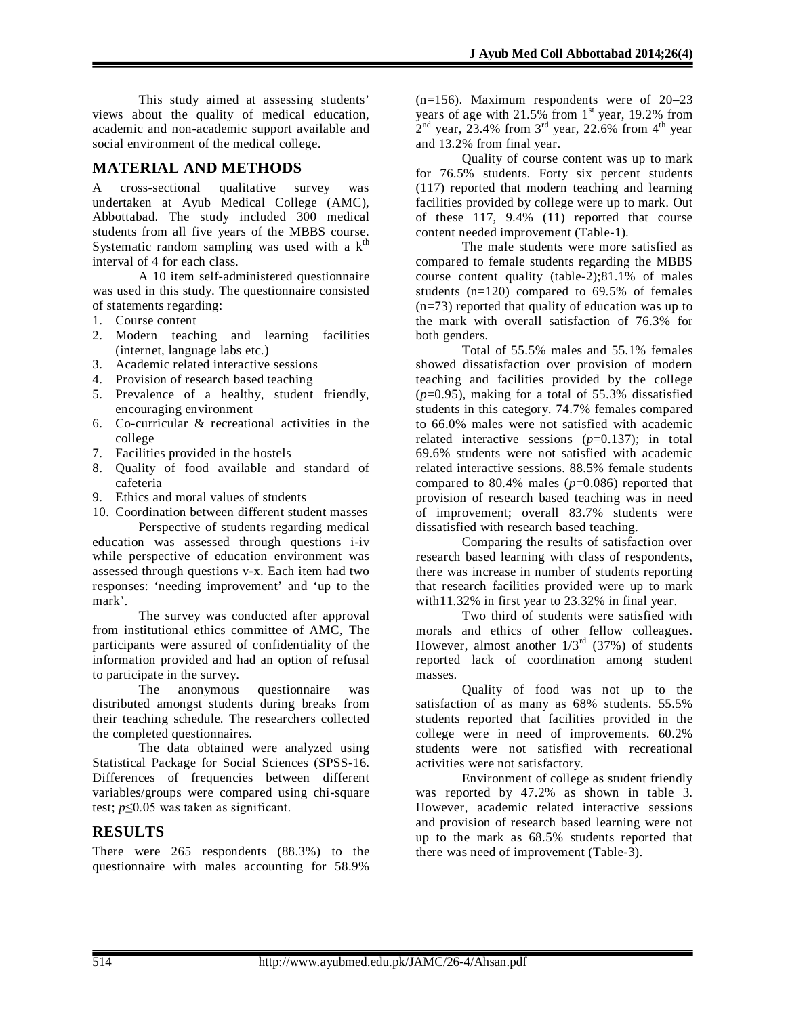This study aimed at assessing students' views about the quality of medical education, academic and non-academic support available and social environment of the medical college.

### **MATERIAL AND METHODS**

A cross-sectional qualitative survey was undertaken at Ayub Medical College (AMC), Abbottabad. The study included 300 medical students from all five years of the MBBS course. Systematic random sampling was used with a  $k<sup>th</sup>$ interval of 4 for each class.

A 10 item self-administered questionnaire was used in this study. The questionnaire consisted of statements regarding:

- 1. Course content
- 2. Modern teaching and learning facilities (internet, language labs etc.)
- 3. Academic related interactive sessions
- 4. Provision of research based teaching
- 5. Prevalence of a healthy, student friendly, encouraging environment
- 6. Co-curricular & recreational activities in the college
- 7. Facilities provided in the hostels
- 8. Quality of food available and standard of cafeteria
- 9. Ethics and moral values of students

10. Coordination between different student masses

Perspective of students regarding medical education was assessed through questions i-iv while perspective of education environment was assessed through questions v-x. Each item had two responses: 'needing improvement' and 'up to the mark'.

The survey was conducted after approval from institutional ethics committee of AMC, The participants were assured of confidentiality of the information provided and had an option of refusal to participate in the survey.

The anonymous questionnaire was distributed amongst students during breaks from their teaching schedule. The researchers collected the completed questionnaires.

The data obtained were analyzed using Statistical Package for Social Sciences (SPSS-16. Differences of frequencies between different variables/groups were compared using chi-square test; *p*≤0.05 was taken as significant.

## **RESULTS**

There were 265 respondents (88.3%) to the questionnaire with males accounting for 58.9%

(n=156). Maximum respondents were of 20–23 years of age with  $21.5\%$  from  $1<sup>st</sup>$  year, 19.2% from  $2<sup>nd</sup>$  year, 23.4% from 3<sup>rd</sup> year, 22.6% from 4<sup>th</sup> year and 13.2% from final year.

Quality of course content was up to mark for 76.5% students. Forty six percent students (117) reported that modern teaching and learning facilities provided by college were up to mark. Out of these 117, 9.4% (11) reported that course content needed improvement (Table-1).

The male students were more satisfied as compared to female students regarding the MBBS course content quality (table-2);81.1% of males students  $(n=120)$  compared to 69.5% of females (n=73) reported that quality of education was up to the mark with overall satisfaction of 76.3% for both genders.

Total of 55.5% males and 55.1% females showed dissatisfaction over provision of modern teaching and facilities provided by the college  $(p=0.95)$ , making for a total of 55.3% dissatisfied students in this category. 74.7% females compared to 66.0% males were not satisfied with academic related interactive sessions  $(p=0.137)$ ; in total 69.6% students were not satisfied with academic related interactive sessions. 88.5% female students compared to 80.4% males (*p*=0.086) reported that provision of research based teaching was in need of improvement; overall 83.7% students were dissatisfied with research based teaching.

Comparing the results of satisfaction over research based learning with class of respondents, there was increase in number of students reporting that research facilities provided were up to mark with11.32% in first year to 23.32% in final year.

Two third of students were satisfied with morals and ethics of other fellow colleagues. However, almost another  $1/3^{rd}$  (37%) of students reported lack of coordination among student masses.

Quality of food was not up to the satisfaction of as many as 68% students. 55.5% students reported that facilities provided in the college were in need of improvements. 60.2% students were not satisfied with recreational activities were not satisfactory.

Environment of college as student friendly was reported by 47.2% as shown in table 3. However, academic related interactive sessions and provision of research based learning were not up to the mark as 68.5% students reported that there was need of improvement (Table-3).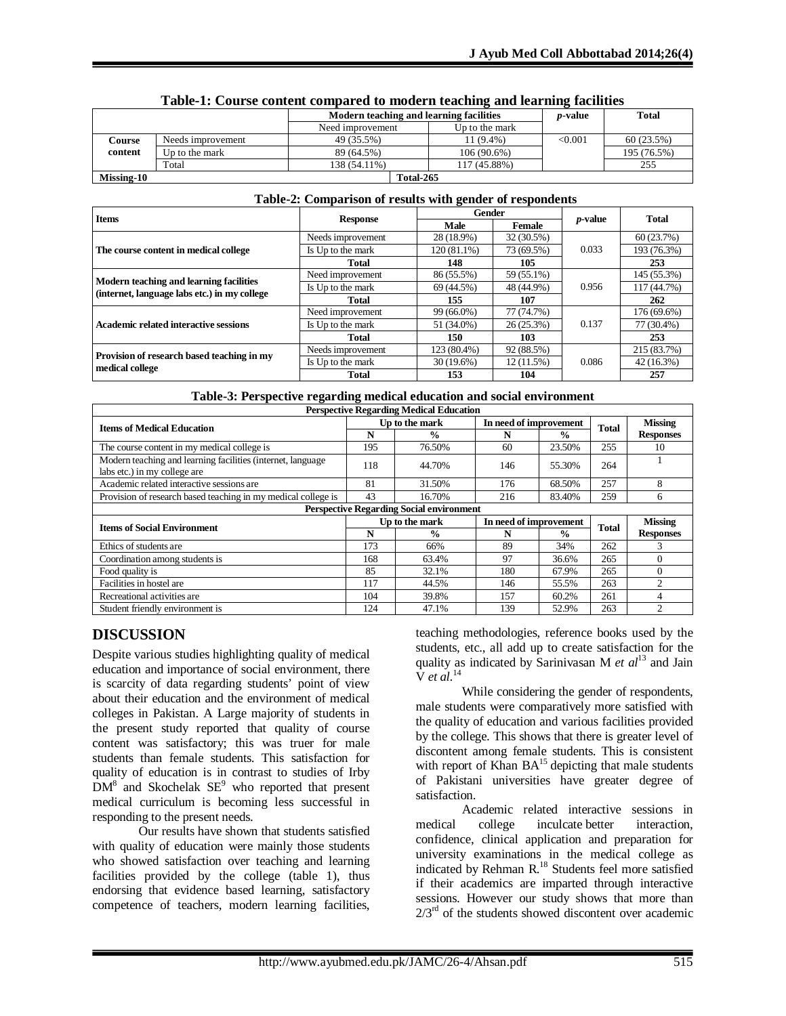|            |                   | Modern teaching and learning facilities | <i>p</i> -value | <b>Total</b> |             |
|------------|-------------------|-----------------------------------------|-----------------|--------------|-------------|
|            |                   | Need improvement<br>Up to the mark      |                 |              |             |
| Course     | Needs improvement | 49 (35.5%)                              | $1(9.4\%)$      | < 0.001      | 60(23.5%)   |
| content    | Up to the mark    | 89 (64.5%)                              | 106 (90.6%)     |              | 195 (76.5%) |
|            | Total             | 138 (54.11%)                            | 117 (45.88%)    |              | 255         |
| Missing-10 |                   | Total-265                               |                 |              |             |

#### **Table-1: Course content compared to modern teaching and learning facilities**

#### **Table-2: Comparison of results with gender of respondents**

| <b>Items</b>                                 | <b>Response</b>   | Gender       |               | <i>p</i> -value | <b>Total</b> |  |
|----------------------------------------------|-------------------|--------------|---------------|-----------------|--------------|--|
|                                              |                   | Male         | <b>Female</b> |                 |              |  |
|                                              | Needs improvement | 28 (18.9%)   | 32 (30.5%)    |                 | 60(23.7%)    |  |
| The course content in medical college        | Is Up to the mark | 120 (81.1%)  | 73 (69.5%)    | 0.033           | 193 (76.3%)  |  |
|                                              | Total             | 148          | 105           |                 | 253          |  |
| Modern teaching and learning facilities      | Need improvement  | 86 (55.5%)   | 59 (55.1%)    |                 | 145 (55.3%)  |  |
| (internet, language labs etc.) in my college | Is Up to the mark | 69 (44.5%)   | 48 (44.9%)    | 0.956           | 117 (44.7%)  |  |
|                                              | Total             | 155          | 107           |                 | 262          |  |
|                                              | Need improvement  | 99 (66.0%)   | 77 (74.7%)    |                 | 176 (69.6%)  |  |
| Academic related interactive sessions        | Is Up to the mark | 51 (34.0%)   | $26(25.3\%)$  | 0.137           | 77 (30.4%)   |  |
|                                              | Total             | 150          | 103           |                 | 253          |  |
| Provision of research based teaching in my   | Needs improvement | 123 (80.4%)  | 92 (88.5%)    |                 | 215 (83.7%)  |  |
| medical college                              | Is Up to the mark | $30(19.6\%)$ | $12(11.5\%)$  | 0.086           | 42 (16.3%)   |  |
|                                              | Total             | 153          | 104           |                 | 257          |  |

|  | Table-3: Perspective regarding medical education and social environment |  |
|--|-------------------------------------------------------------------------|--|
|  |                                                                         |  |

| <b>Perspective Regarding Medical Education</b>                                              |                |                |                        |                        |              |                  |  |
|---------------------------------------------------------------------------------------------|----------------|----------------|------------------------|------------------------|--------------|------------------|--|
| <b>Items of Medical Education</b>                                                           |                | Up to the mark |                        | In need of improvement |              | <b>Missing</b>   |  |
|                                                                                             | N              | $\frac{0}{0}$  | N                      | $\frac{0}{0}$          | <b>Total</b> | <b>Responses</b> |  |
| The course content in my medical college is                                                 | 195            | 76.50%         | 60                     | 23.50%                 | 255          | 10               |  |
| Modern teaching and learning facilities (internet, language<br>labs etc.) in my college are |                | 44.70%         | 146                    | 55.30%                 | 264          |                  |  |
| Academic related interactive sessions are                                                   | 81             | 31.50%         | 176                    | 68.50%                 | 257          | 8                |  |
| Provision of research based teaching in my medical college is                               | 43             | 16.70%         | 216                    | 83.40%                 | 259          | 6                |  |
| <b>Perspective Regarding Social environment</b>                                             |                |                |                        |                        |              |                  |  |
| <b>Items of Social Environment</b>                                                          | Up to the mark |                | In need of improvement |                        | <b>Total</b> | <b>Missing</b>   |  |
|                                                                                             | N              | $\frac{0}{n}$  | N                      | $\frac{6}{9}$          |              | <b>Responses</b> |  |
| Ethics of students are                                                                      | 173            | 66%            | 89                     | 34%                    | 262          | 3                |  |
| Coordination among students is                                                              | 168            | 63.4%          | 97                     | 36.6%                  | 265          | $\Omega$         |  |
| Food quality is                                                                             | 85             | 32.1%          | 180                    | 67.9%                  | 265          | $\Omega$         |  |
| Facilities in hostel are                                                                    | 117            | 44.5%          | 146                    | 55.5%                  | 263          | $\overline{c}$   |  |
| Recreational activities are                                                                 | 104            | 39.8%          | 157                    | 60.2%                  | 261          | 4                |  |
| Student friendly environment is                                                             | 124            | 47.1%          | 139                    | 52.9%                  | 263          | $\overline{c}$   |  |

## **DISCUSSION**

Despite various studies highlighting quality of medical education and importance of social environment, there is scarcity of data regarding students' point of view about their education and the environment of medical colleges in Pakistan. A Large majority of students in the present study reported that quality of course content was satisfactory; this was truer for male students than female students. This satisfaction for quality of education is in contrast to studies of Irby  $DM<sup>8</sup>$  and Skochelak  $SE<sup>9</sup>$  who reported that present medical curriculum is becoming less successful in responding to the present needs.

Our results have shown that students satisfied with quality of education were mainly those students who showed satisfaction over teaching and learning facilities provided by the college (table 1), thus endorsing that evidence based learning, satisfactory competence of teachers, modern learning facilities, teaching methodologies, reference books used by the students, etc., all add up to create satisfaction for the quality as indicated by Sarinivasan M *et al*<sup>13</sup> and Jain V *et al*. 14

While considering the gender of respondents, male students were comparatively more satisfied with the quality of education and various facilities provided by the college. This shows that there is greater level of discontent among female students. This is consistent with report of Khan  $BA<sup>15</sup>$  depicting that male students of Pakistani universities have greater degree of satisfaction.

Academic related interactive sessions in college inculcate better interaction, medical college inculcate better confidence, clinical application and preparation for university examinations in the medical college as indicated by Rehman R.<sup>18</sup> Students feel more satisfied if their academics are imparted through interactive sessions. However our study shows that more than  $2/3<sup>rd</sup>$  of the students showed discontent over academic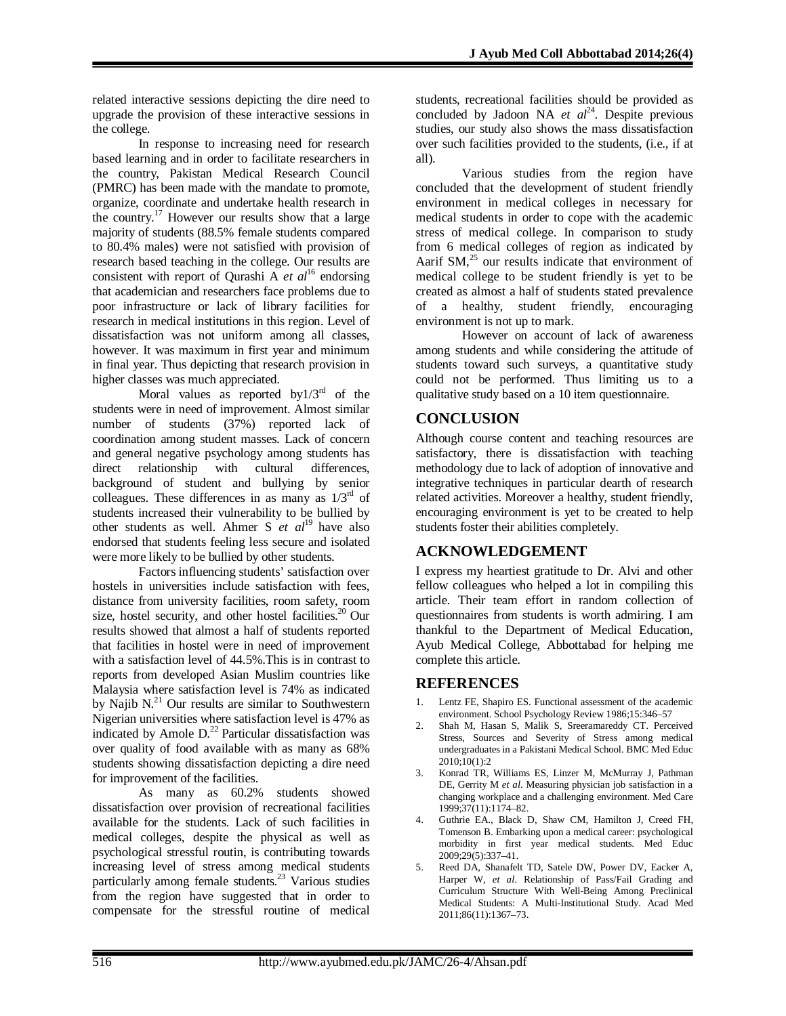related interactive sessions depicting the dire need to upgrade the provision of these interactive sessions in the college.

In response to increasing need for research based learning and in order to facilitate researchers in the country, Pakistan Medical Research Council (PMRC) has been made with the mandate to promote, organize, coordinate and undertake health research in the country.<sup>17</sup> However our results show that a large majority of students (88.5% female students compared to 80.4% males) were not satisfied with provision of research based teaching in the college. Our results are consistent with report of Qurashi A *et al*<sup>16</sup> endorsing that academician and researchers face problems due to poor infrastructure or lack of library facilities for research in medical institutions in this region. Level of dissatisfaction was not uniform among all classes, however. It was maximum in first year and minimum in final year. Thus depicting that research provision in higher classes was much appreciated.

Moral values as reported by $1/3<sup>rd</sup>$  of the students were in need of improvement. Almost similar number of students (37%) reported lack of coordination among student masses. Lack of concern and general negative psychology among students has direct relationship with cultural differences, background of student and bullying by senior colleagues. These differences in as many as  $1/3<sup>rd</sup>$  of students increased their vulnerability to be bullied by other students as well. Ahmer S *et al*<sup>19</sup> have also endorsed that students feeling less secure and isolated were more likely to be bullied by other students.

Factors influencing students' satisfaction over hostels in universities include satisfaction with fees, distance from university facilities, room safety, room size, hostel security, and other hostel facilities. $20$  Our results showed that almost a half of students reported that facilities in hostel were in need of improvement with a satisfaction level of 44.5%.This is in contrast to reports from developed Asian Muslim countries like Malaysia where satisfaction level is 74% as indicated by Najib  $N<sup>21</sup>$  Our results are similar to Southwestern Nigerian universities where satisfaction level is 47% as indicated by Amole  $D<sup>22</sup>$  Particular dissatisfaction was over quality of food available with as many as 68% students showing dissatisfaction depicting a dire need for improvement of the facilities.

As many as 60.2% students showed dissatisfaction over provision of recreational facilities available for the students. Lack of such facilities in medical colleges, despite the physical as well as psychological stressful routin, is contributing towards increasing level of stress among medical students particularly among female students.<sup>23</sup> Various studies from the region have suggested that in order to compensate for the stressful routine of medical

students, recreational facilities should be provided as concluded by Jadoon NA  $et \text{ } al^{24}$ . Despite previous studies, our study also shows the mass dissatisfaction over such facilities provided to the students, (i.e., if at all).

Various studies from the region have concluded that the development of student friendly environment in medical colleges in necessary for medical students in order to cope with the academic stress of medical college. In comparison to study from 6 medical colleges of region as indicated by Aarif SM,<sup>25</sup> our results indicate that environment of medical college to be student friendly is yet to be created as almost a half of students stated prevalence of a healthy, student friendly, encouraging environment is not up to mark.

However on account of lack of awareness among students and while considering the attitude of students toward such surveys, a quantitative study could not be performed. Thus limiting us to a qualitative study based on a 10 item questionnaire.

# **CONCLUSION**

Although course content and teaching resources are satisfactory, there is dissatisfaction with teaching methodology due to lack of adoption of innovative and integrative techniques in particular dearth of research related activities. Moreover a healthy, student friendly, encouraging environment is yet to be created to help students foster their abilities completely.

# **ACKNOWLEDGEMENT**

I express my heartiest gratitude to Dr. Alvi and other fellow colleagues who helped a lot in compiling this article. Their team effort in random collection of questionnaires from students is worth admiring. I am thankful to the Department of Medical Education, Ayub Medical College, Abbottabad for helping me complete this article.

## **REFERENCES**

- 1. Lentz FE, Shapiro ES. Functional assessment of the academic environment. School Psychology Review 1986;15:346–57
- 2. Shah M, Hasan S, Malik S, Sreeramareddy CT. Perceived Stress, Sources and Severity of Stress among medical undergraduates in a Pakistani Medical School. BMC Med Educ 2010;10(1):2
- 3. Konrad TR, Williams ES, Linzer M, McMurray J, Pathman DE, Gerrity M *et al*. Measuring physician job satisfaction in a changing workplace and a challenging environment. Med Care 1999;37(11):1174–82.
- 4. Guthrie EA., Black D, Shaw CM, Hamilton J, Creed FH, Tomenson B. Embarking upon a medical career: psychological morbidity in first year medical students. Med Educ 2009;29(5):337–41.
- 5. Reed DA, Shanafelt TD, Satele DW, Power DV, Eacker A, Harper W, *et al*. Relationship of Pass/Fail Grading and Curriculum Structure With Well-Being Among Preclinical Medical Students: A Multi-Institutional Study. Acad Med 2011;86(11):1367–73.